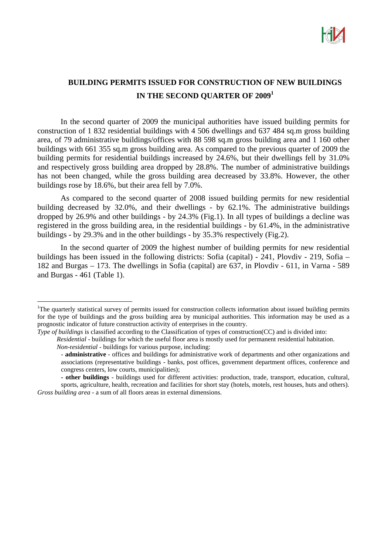

## **BUILDING PERMITS ISSUED FOR CONSTRUCTION OF NEW BUILDINGS IN THE SECOND QUARTER OF 2009<sup>1</sup>**

In the second quarter of 2009 the municipal authorities have issued building permits for construction of 1 832 residential buildings with 4 506 dwellings and 637 484 sq.m gross building area, of 79 administrative buildings/offices with 88 598 sq.m gross building area and 1 160 other buildings with 661 355 sq.m gross building area. As compared to the previous quarter of 2009 the building permits for residential buildings increased by 24.6%, but their dwellings fell by 31.0% and respectively gross building area dropped by 28.8%. The number of administrative buildings has not been changed, while the gross building area decreased by 33.8%. However, the other buildings rose by 18.6%, but their area fell by 7.0%.

As compared to the second quarter of 2008 issued building permits for new residential building decreased by 32.0%, and their dwellings - by 62.1%. The administrative buildings dropped by 26.9% and other buildings - by 24.3% (Fig.1). In all types of buildings a decline was registered in the gross building area, in the residential buildings - by 61.4%, in the administrative buildings - by 29.3% and in the other buildings - by 35.3% respectively (Fig.2).

In the second quarter of 2009 the highest number of building permits for new residential buildings has been issued in the following districts: Sofia (capital) - 241, Plovdiv - 219, Sofia – 182 and Burgas – 173. The dwellings in Sofia (capital) are 637, in Plovdiv - 611, in Varna - 589 and Burgas - 461 (Table 1).

*Residential* - buildings for which the useful floor area is mostly used for permanent residential habitation.

 $\overline{a}$ 

<sup>&</sup>lt;sup>1</sup>The quarterly statistical survey of permits issued for construction collects information about issued building permits for the type of buildings and the gross building area by municipal authorities. This information may be used as a prognostic indicator of future construction activity of enterprises in the country.

*Type of buildings* is classified according to the Classification of types of construction(CC) and is divided into:

*Non*-r*esidential -* buildings for various purpose, including:

<sup>-</sup> **administrative** - offices and buildings for administrative work of departments and other organizations and associations (representative buildings - banks, post offices, government department offices, conference and congress centers, low courts, municipalities);

**<sup>-</sup> other buildings** - buildings used for different activities: production, trade, transport, education, cultural, sports, agriculture, health, recreation and facilities for short stay (hotels, motels, rest houses, huts and others). *Gross building area* - a sum of all floors areas in external dimensions.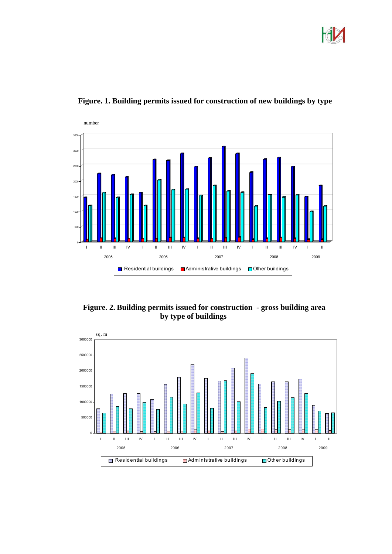



**Figure. 1. Building permits issued for construction of new buildings by type**

 **Figure. 2. Building permits issued for construction - gross building area by type of buildings**